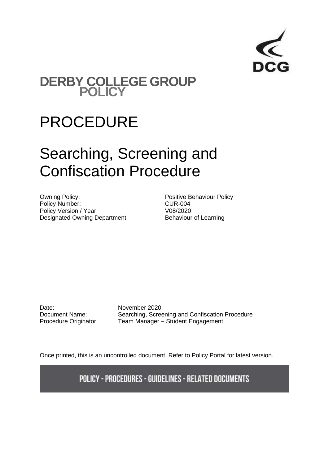

# **DERBY COLLEGE GROUP POLICY**

# PROCEDURE

# Searching, Screening and Confiscation Procedure

Owning Policy: example and the Positive Behaviour Policy Policy Number: CUR-004 Policy Version / Year: V08/2020 Designated Owning Department: Behaviour of Learning

Date: November 2020

Document Name: Searching, Screening and Confiscation Procedure Procedure Originator: Team Manager - Student Engagement

Once printed, this is an uncontrolled document. Refer to Policy Portal for latest version.

**POLICY - PROCEDURES - GUIDELINES - RELATED DOCUMENTS**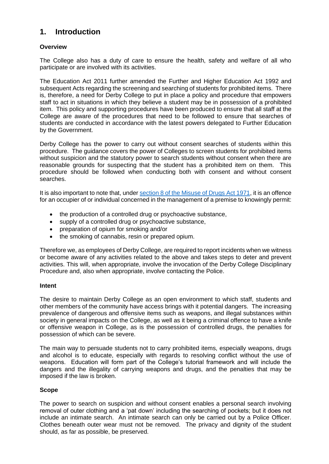# **1. Introduction**

#### **Overview**

The College also has a duty of care to ensure the health, safety and welfare of all who participate or are involved with its activities.

The Education Act 2011 further amended the Further and Higher Education Act 1992 and subsequent Acts regarding the screening and searching of students for prohibited items. There is, therefore, a need for Derby College to put in place a policy and procedure that empowers staff to act in situations in which they believe a student may be in possession of a prohibited item. This policy and supporting procedures have been produced to ensure that all staff at the College are aware of the procedures that need to be followed to ensure that searches of students are conducted in accordance with the latest powers delegated to Further Education by the Government.

Derby College has the power to carry out without consent searches of students within this procedure. The guidance covers the power of Colleges to screen students for prohibited items without suspicion and the statutory power to search students without consent when there are reasonable grounds for suspecting that the student has a prohibited item on them. This procedure should be followed when conducting both with consent and without consent searches.

It is also important to note that, under [section 8 of the Misuse of Drugs Act 1971,](https://www.legislation.gov.uk/ukpga/1971/38/section/8) it is an offence for an occupier of or individual concerned in the management of a premise to knowingly permit:

- the production of a controlled drug or psychoactive substance,
- supply of a controlled drug or psychoactive substance,
- preparation of opium for smoking and/or
- the smoking of cannabis, resin or prepared opium.

Therefore we, as employees of Derby College, are required to report incidents when we witness or become aware of any activities related to the above and takes steps to deter and prevent activities. This will, when appropriate, involve the invocation of the Derby College Disciplinary Procedure and, also when appropriate, involve contacting the Police.

#### **Intent**

The desire to maintain Derby College as an open environment to which staff, students and other members of the community have access brings with it potential dangers. The increasing prevalence of dangerous and offensive items such as weapons, and illegal substances within society in general impacts on the College, as well as it being a criminal offence to have a knife or offensive weapon in College, as is the possession of controlled drugs, the penalties for possession of which can be severe.

The main way to persuade students not to carry prohibited items, especially weapons, drugs and alcohol is to educate, especially with regards to resolving conflict without the use of weapons. Education will form part of the College's tutorial framework and will include the dangers and the illegality of carrying weapons and drugs, and the penalties that may be imposed if the law is broken.

#### **Scope**

The power to search on suspicion and without consent enables a personal search involving removal of outer clothing and a 'pat down' including the searching of pockets; but it does not include an intimate search. An intimate search can only be carried out by a Police Officer. Clothes beneath outer wear must not be removed. The privacy and dignity of the student should, as far as possible, be preserved.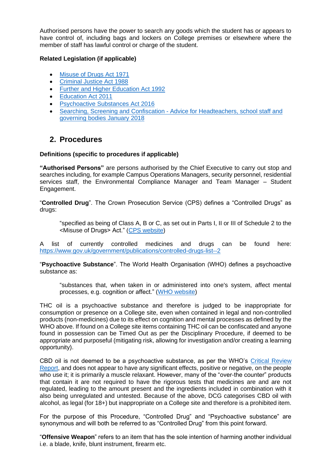Authorised persons have the power to search any goods which the student has or appears to have control of, including bags and lockers on College premises or elsewhere where the member of staff has lawful control or charge of the student.

#### **Related Legislation (if applicable)**

- [Misuse of Drugs Act 1971](https://www.legislation.gov.uk/ukpga/1971/38/contents)
- [Criminal Justice Act 1988](https://www.legislation.gov.uk/ukpga/1988/33/contents)
- [Further and Higher Education Act 1992](https://www.legislation.gov.uk/ukpga/1992/13/contents)
- [Education Act 2011](http://www.legislation.gov.uk/ukpga/2011/21/contents/enacted)
- **[Psychoactive Substances Act 2016](http://www.legislation.gov.uk/ukpga/2016/2/contents/enacted)**
- Searching, Screening and Confiscation [Advice for Headteachers, school staff and](https://assets.publishing.service.gov.uk/government/uploads/system/uploads/attachment_data/file/674416/Searching_screening_and_confiscation.pdf)  [governing bodies January 2018](https://assets.publishing.service.gov.uk/government/uploads/system/uploads/attachment_data/file/674416/Searching_screening_and_confiscation.pdf)

### **2. Procedures**

#### **Definitions (specific to procedures if applicable)**

**"Authorised Persons"** are persons authorised by the Chief Executive to carry out stop and searches including, for example Campus Operations Managers, security personnel, residential services staff, the Environmental Compliance Manager and Team Manager – Student Engagement.

"**Controlled Drug**". The Crown Prosecution Service (CPS) defines a "Controlled Drugs" as drugs:

"specified as being of Class A, B or C, as set out in Parts I, II or III of Schedule 2 to the <Misuse of Drugs> Act." [\(CPS website\)](https://www.cps.gov.uk/legal-guidance/drug-offences)

A list of currently controlled medicines and drugs can be found here: <https://www.gov.uk/government/publications/controlled-drugs-list--2>

"**Psychoactive Substance**". The World Health Organisation (WHO) defines a psychoactive substance as:

"substances that, when taken in or administered into one's system, affect mental processes, e.g. cognition or affect." [\(WHO website\)](https://www.who.int/substance_abuse/terminology/psychoactive_substances/en/)

THC oil is a psychoactive substance and therefore is judged to be inappropriate for consumption or presence on a College site, even when contained in legal and non-controlled products (non-medicines) due to its effect on cognition and mental processes as defined by the WHO above. If found on a College site items containing THC oil can be confiscated and anyone found in possession can be Timed Out as per the Disciplinary Procedure, if deemed to be appropriate and purposeful (mitigating risk, allowing for investigation and/or creating a learning opportunity).

CBD oil is not deemed to be a psychoactive substance, as per the WHO's [Critical Review](https://www.who.int/medicines/access/controlled-substances/CannabidiolCriticalReview.pdf)  [Report,](https://www.who.int/medicines/access/controlled-substances/CannabidiolCriticalReview.pdf) and does not appear to have any significant effects, positive or negative, on the people who use it; it is primarily a muscle relaxant. However, many of the "over-the counter" products that contain it are not required to have the rigorous tests that medicines are and are not regulated, leading to the amount present and the ingredients included in combination with it also being unregulated and untested. Because of the above, DCG categorises CBD oil with alcohol, as legal (for 18+) but inappropriate on a College site and therefore is a prohibited item.

For the purpose of this Procedure, "Controlled Drug" and "Psychoactive substance" are synonymous and will both be referred to as "Controlled Drug" from this point forward.

"**Offensive Weapon**" refers to an item that has the sole intention of harming another individual i.e. a blade, knife, blunt instrument, firearm etc.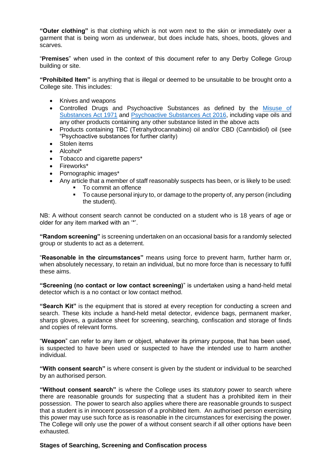**"Outer clothing"** is that clothing which is not worn next to the skin or immediately over a garment that is being worn as underwear, but does include hats, shoes, boots, gloves and scarves.

"**Premises**" when used in the context of this document refer to any Derby College Group building or site.

**"Prohibited Item"** is anything that is illegal or deemed to be unsuitable to be brought onto a College site. This includes:

- Knives and weapons
- Controlled Drugs and Psychoactive Substances as defined by the [Misuse of](https://www.legislation.gov.uk/ukpga/1971/38/contents)  [Substances Act 1971](https://www.legislation.gov.uk/ukpga/1971/38/contents) and [Psychoactive Substances Act 2016,](http://www.legislation.gov.uk/ukpga/2016/2/contents/enacted) including vape oils and any other products containing any other substance listed in the above acts
- Products containing TBC (Tetrahydrocannabino) oil and/or CBD (Cannbidiol) oil (see "Psychoactive substances for further clarity)
- Stolen items
- Alcohol\*
- Tobacco and cigarette papers\*
- Fireworks\*
- Pornographic images\*
- Any article that a member of staff reasonably suspects has been, or is likely to be used:
	- To commit an offence
	- To cause personal injury to, or damage to the property of, any person (including the student).

NB: A without consent search cannot be conducted on a student who is 18 years of age or older for any item marked with an '\*'.

**"Random screening"** is screening undertaken on an occasional basis for a randomly selected group or students to act as a deterrent.

"**Reasonable in the circumstances"** means using force to prevent harm, further harm or, when absolutely necessary, to retain an individual, but no more force than is necessary to fulfil these aims.

**"Screening (no contact or low contact screening)**" is undertaken using a hand-held metal detector which is a no contact or low contact method.

**"Search Kit"** is the equipment that is stored at every reception for conducting a screen and search. These kits include a hand-held metal detector, evidence bags, permanent marker, sharps gloves, a guidance sheet for screening, searching, confiscation and storage of finds and copies of relevant forms.

"**Weapon**" can refer to any item or object, whatever its primary purpose, that has been used, is suspected to have been used or suspected to have the intended use to harm another individual.

**"With consent search"** is where consent is given by the student or individual to be searched by an authorised person.

**"Without consent search"** is where the College uses its statutory power to search where there are reasonable grounds for suspecting that a student has a prohibited item in their possession. The power to search also applies where there are reasonable grounds to suspect that a student is in innocent possession of a prohibited item. An authorised person exercising this power may use such force as is reasonable in the circumstances for exercising the power. The College will only use the power of a without consent search if all other options have been exhausted.

#### **Stages of Searching, Screening and Confiscation process**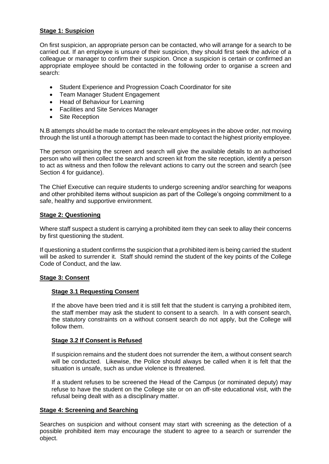### **Stage 1: Suspicion**

On first suspicion, an appropriate person can be contacted, who will arrange for a search to be carried out. If an employee is unsure of their suspicion, they should first seek the advice of a colleague or manager to confirm their suspicion. Once a suspicion is certain or confirmed an appropriate employee should be contacted in the following order to organise a screen and search:

- Student Experience and Progression Coach Coordinator for site
- Team Manager Student Engagement
- Head of Behaviour for Learning
- Facilities and Site Services Manager
- Site Reception

N.B attempts should be made to contact the relevant employees in the above order, not moving through the list until a thorough attempt has been made to contact the highest priority employee.

The person organising the screen and search will give the available details to an authorised person who will then collect the search and screen kit from the site reception, identify a person to act as witness and then follow the relevant actions to carry out the screen and search (see Section 4 for guidance).

The Chief Executive can require students to undergo screening and/or searching for weapons and other prohibited items without suspicion as part of the College's ongoing commitment to a safe, healthy and supportive environment.

#### **Stage 2: Questioning**

Where staff suspect a student is carrying a prohibited item they can seek to allay their concerns by first questioning the student.

If questioning a student confirms the suspicion that a prohibited item is being carried the student will be asked to surrender it. Staff should remind the student of the key points of the College Code of Conduct, and the law.

#### **Stage 3: Consent**

#### **Stage 3.1 Requesting Consent**

If the above have been tried and it is still felt that the student is carrying a prohibited item, the staff member may ask the student to consent to a search. In a with consent search, the statutory constraints on a without consent search do not apply, but the College will follow them.

#### **Stage 3.2 If Consent is Refused**

If suspicion remains and the student does not surrender the item, a without consent search will be conducted. Likewise, the Police should always be called when it is felt that the situation is unsafe, such as undue violence is threatened.

If a student refuses to be screened the Head of the Campus (or nominated deputy) may refuse to have the student on the College site or on an off-site educational visit, with the refusal being dealt with as a disciplinary matter.

#### **Stage 4: Screening and Searching**

Searches on suspicion and without consent may start with screening as the detection of a possible prohibited item may encourage the student to agree to a search or surrender the object.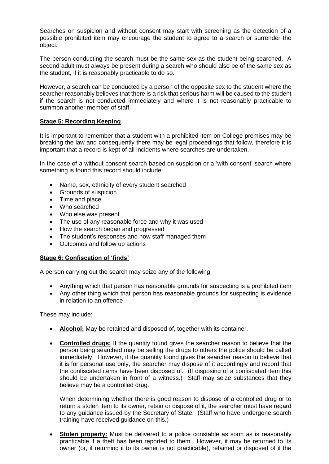Searches on suspicion and without consent may start with screening as the detection of a possible prohibited item may encourage the student to agree to a search or surrender the object.

The person conducting the search must be the same sex as the student being searched. A second adult must always be present during a search who should also be of the same sex as the student, if it is reasonably practicable to do so.

However, a search can be conducted by a person of the opposite sex to the student where the searcher reasonably believes that there is a risk that serious harm will be caused to the student if the search is not conducted immediately and where it is not reasonably practicable to summon another member of staff.

#### **Stage 5: Recording Keeping**

It is important to remember that a student with a prohibited item on College premises may be breaking the law and consequently there may be legal proceedings that follow, therefore it is important that a record is kept of all incidents where searches are undertaken.

In the case of a without consent search based on suspicion or a 'with consent' search where something is found this record should include:

- Name, sex, ethnicity of every student searched
- Grounds of suspicion
- Time and place
- Who searched
- Who else was present
- The use of any reasonable force and why it was used
- How the search began and progressed
- The student's responses and how staff managed them
- Outcomes and follow up actions

#### **Stage 6: Confiscation of 'finds'**

A person carrying out the search may seize any of the following:

- Anything which that person has reasonable grounds for suspecting is a prohibited item
- Any other thing which that person has reasonable grounds for suspecting is evidence in relation to an offence

These may include:

- **Alcohol:** May be retained and disposed of, together with its container.
- **Controlled drugs:** If the quantity found gives the searcher reason to believe that the person being searched may be selling the drugs to others the police should be called immediately. However, if the quantity found gives the searcher reason to believe that it is for personal use only, the searcher may dispose of it accordingly and record that the confiscated items have been disposed of. (If disposing of a confiscated item this should be undertaken in front of a witness.) Staff may seize substances that they believe may be a controlled drug.

When determining whether there is good reason to dispose of a controlled drug or to return a stolen item to its owner, retain or dispose of it, the searcher must have regard to any guidance issued by the Secretary of State. (Staff who have undergone search training have received guidance on this.)

**Stolen property:** Must be delivered to a police constable as soon as is reasonably practicable if a theft has been reported to them. However, it may be returned to its owner (or, if returning it to its owner is not practicable), retained or disposed of if the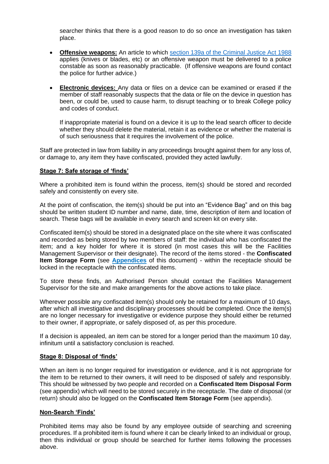searcher thinks that there is a good reason to do so once an investigation has taken place.

- **Offensive weapons:** An article to which [section 139a of the Criminal Justice Act 1988](https://www.legislation.gov.uk/ukpga/1988/33/section/139A) applies (knives or blades, etc) or an offensive weapon must be delivered to a police constable as soon as reasonably practicable. (If offensive weapons are found contact the police for further advice.)
- **Electronic devices:** Any data or files on a device can be examined or erased if the member of staff reasonably suspects that the data or file on the device in question has been, or could be, used to cause harm, to disrupt teaching or to break College policy and codes of conduct.

If inappropriate material is found on a device it is up to the lead search officer to decide whether they should delete the material, retain it as evidence or whether the material is of such seriousness that it requires the involvement of the police.

Staff are protected in law from liability in any proceedings brought against them for any loss of, or damage to, any item they have confiscated, provided they acted lawfully.

#### **Stage 7: Safe storage of 'finds'**

Where a prohibited item is found within the process, item(s) should be stored and recorded safely and consistently on every site.

At the point of confiscation, the item(s) should be put into an "Evidence Bag" and on this bag should be written student ID number and name, date, time, description of item and location of search. These bags will be available in every search and screen kit on every site.

Confiscated item(s) should be stored in a designated place on the site where it was confiscated and recorded as being stored by two members of staff: the individual who has confiscated the item; and a key holder for where it is stored (in most cases this will be the Facilities Management Supervisor or their designate). The record of the items stored - the **Confiscated Item Storage Form** (see **[Appendices](#page-9-0)** of this document) - within the receptacle should be locked in the receptacle with the confiscated items.

To store these finds, an Authorised Person should contact the Facilities Management Supervisor for the site and make arrangements for the above actions to take place.

Wherever possible any confiscated item(s) should only be retained for a maximum of 10 days, after which all investigative and disciplinary processes should be completed. Once the item(s) are no longer necessary for investigative or evidence purpose they should either be returned to their owner, if appropriate, or safely disposed of, as per this procedure.

If a decision is appealed, an item can be stored for a longer period than the maximum 10 day, infinitum until a satisfactory conclusion is reached.

#### **Stage 8: Disposal of 'finds'**

When an item is no longer required for investigation or evidence, and it is not appropriate for the item to be returned to their owners, it will need to be disposed of safely and responsibly. This should be witnessed by two people and recorded on a **Confiscated Item Disposal Form** (see appendix) which will need to be stored securely in the receptacle. The date of disposal (or return) should also be logged on the **Confiscated Item Storage Form** (see appendix).

#### **Non-Search 'Finds'**

Prohibited items may also be found by any employee outside of searching and screening procedures. If a prohibited item is found where it can be clearly linked to an individual or group, then this individual or group should be searched for further items following the processes above.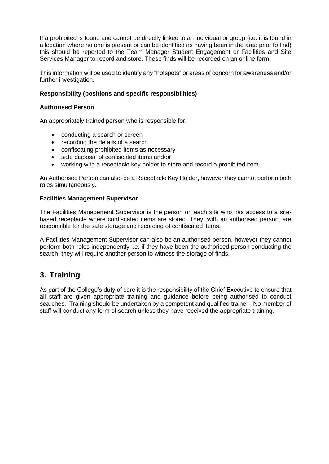If a prohibited is found and cannot be directly linked to an individual or group (i.e. it is found in a location where no one is present or can be identified as having been in the area prior to find) this should be reported to the Team Manager Student Engagement or Facilities and Site Services Manager to record and store. These finds will be recorded on an online form.

This information will be used to identify any "hotspots" or areas of concern for awareness and/or further investigation.

#### **Responsibility (positions and specific responsibilities)**

#### **Authorised Person**

An appropriately trained person who is responsible for:

- conducting a search or screen
- recording the details of a search
- confiscating prohibited items as necessary
- safe disposal of confiscated items and/or
- working with a receptacle key holder to store and record a prohibited item.

An Authorised Person can also be a Receptacle Key Holder, however they cannot perform both roles simultaneously.

#### **Facilities Management Supervisor**

The Facilities Management Supervisor is the person on each site who has access to a sitebased receptacle where confiscated items are stored. They, with an authorised person, are responsible for the safe storage and recording of confiscated items.

A Facilities Management Supervisor can also be an authorised person, however they cannot perform both roles independently i.e. if they have been the authorised person conducting the search, they will require another person to witness the storage of finds.

# **3. Training**

As part of the College's duty of care it is the responsibility of the Chief Executive to ensure that all staff are given appropriate training and guidance before being authorised to conduct searches. Training should be undertaken by a competent and qualified trainer. No member of staff will conduct any form of search unless they have received the appropriate training.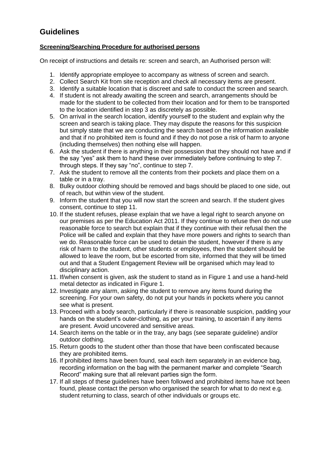# **Guidelines**

### **Screening/Searching Procedure for authorised persons**

On receipt of instructions and details re: screen and search, an Authorised person will:

- 1. Identify appropriate employee to accompany as witness of screen and search.
- 2. Collect Search Kit from site reception and check all necessary items are present.
- 3. Identify a suitable location that is discreet and safe to conduct the screen and search.
- 4. If student is not already awaiting the screen and search, arrangements should be made for the student to be collected from their location and for them to be transported to the location identified in step 3 as discretely as possible.
- 5. On arrival in the search location, identify yourself to the student and explain why the screen and search is taking place. They may dispute the reasons for this suspicion but simply state that we are conducting the search based on the information available and that if no prohibited item is found and if they do not pose a risk of harm to anyone (including themselves) then nothing else will happen.
- 6. Ask the student if there is anything in their possession that they should not have and if the say "yes" ask them to hand these over immediately before continuing to step 7. through steps. If they say "no", continue to step 7.
- 7. Ask the student to remove all the contents from their pockets and place them on a table or in a tray.
- 8. Bulky outdoor clothing should be removed and bags should be placed to one side, out of reach, but within view of the student.
- 9. Inform the student that you will now start the screen and search. If the student gives consent, continue to step 11.
- 10. If the student refuses, please explain that we have a legal right to search anyone on our premises as per the Education Act 2011. If they continue to refuse then do not use reasonable force to search but explain that if they continue with their refusal then the Police will be called and explain that they have more powers and rights to search than we do. Reasonable force can be used to detain the student, however if there is any risk of harm to the student, other students or employees, then the student should be allowed to leave the room, but be escorted from site, informed that they will be timed out and that a Student Engagement Review will be organised which may lead to disciplinary action.
- 11. If/when consent is given, ask the student to stand as in Figure 1 and use a hand-held metal detector as indicated in Figure 1.
- 12. Investigate any alarm, asking the student to remove any items found during the screening. For your own safety, do not put your hands in pockets where you cannot see what is present.
- 13. Proceed with a body search, particularly if there is reasonable suspicion, padding your hands on the student's outer-clothing, as per your training, to ascertain if any items are present. Avoid uncovered and sensitive areas.
- 14. Search items on the table or in the tray, any bags (see separate guideline) and/or outdoor clothing.
- 15. Return goods to the student other than those that have been confiscated because they are prohibited items.
- 16. If prohibited items have been found, seal each item separately in an evidence bag, recording information on the bag with the permanent marker and complete "Search Record" making sure that all relevant parties sign the form.
- 17. If all steps of these guidelines have been followed and prohibited items have not been found, please contact the person who organised the search for what to do next e.g. student returning to class, search of other individuals or groups etc.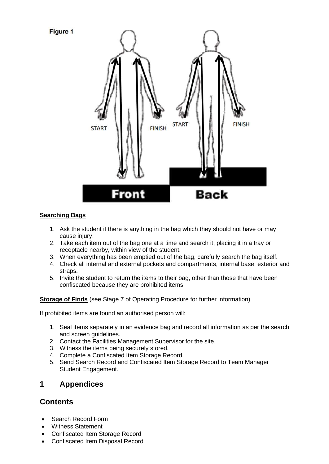

### **Searching Bags**

- 1. Ask the student if there is anything in the bag which they should not have or may cause injury.
- 2. Take each item out of the bag one at a time and search it, placing it in a tray or receptacle nearby, within view of the student.
- 3. When everything has been emptied out of the bag, carefully search the bag itself.
- 4. Check all internal and external pockets and compartments, internal base, exterior and straps.
- 5. Invite the student to return the items to their bag, other than those that have been confiscated because they are prohibited items.

**Storage of Finds** (see Stage 7 of Operating Procedure for further information)

If prohibited items are found an authorised person will:

- 1. Seal items separately in an evidence bag and record all information as per the search and screen guidelines.
- 2. Contact the Facilities Management Supervisor for the site.
- 3. Witness the items being securely stored.
- 4. Complete a Confiscated Item Storage Record.
- 5. Send Search Record and Confiscated Item Storage Record to Team Manager Student Engagement.

# <span id="page-9-0"></span>**1 Appendices**

# **Contents**

- Search Record Form
- Witness Statement
- Confiscated Item Storage Record
- Confiscated Item Disposal Record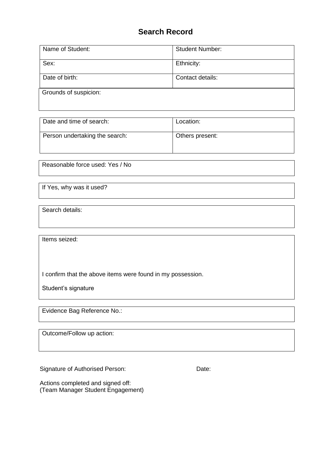# **Search Record**

| Name of Student:      | <b>Student Number:</b> |  |  |  |  |
|-----------------------|------------------------|--|--|--|--|
| Sex:                  | Ethnicity:             |  |  |  |  |
| Date of birth:        | Contact details:       |  |  |  |  |
| Grounds of suspicion: |                        |  |  |  |  |
|                       |                        |  |  |  |  |

| Date and time of search:       | Location:       |
|--------------------------------|-----------------|
| Person undertaking the search: | Others present: |

Reasonable force used: Yes / No

If Yes, why was it used?

Search details:

Items seized:

I confirm that the above items were found in my possession.

Student's signature

Evidence Bag Reference No.:

Outcome/Follow up action:

Signature of Authorised Person: Date:

Actions completed and signed off: (Team Manager Student Engagement)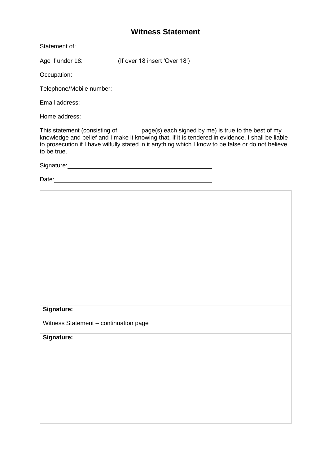# **Witness Statement**

Statement of:

Age if under 18: (If over 18 insert 'Over 18')

Occupation:

Telephone/Mobile number:

Email address:

Home address:

This statement (consisting of page(s) each signed by me) is true to the best of my knowledge and belief and I make it knowing that, if it is tendered in evidence, I shall be liable to prosecution if I have wilfully stated in it anything which I know to be false or do not believe to be true.

Signature: Management of the Signature:

Date: **Date: Date: Date: Date: Date: Date: Date: Date: Date: Date: Date: Date: Date: Date: Date: Date: Date: Date: Date: Date: Date: Date: Date: Date: Date: Date: Date:**

#### **Signature:**

Witness Statement – continuation page

**Signature:**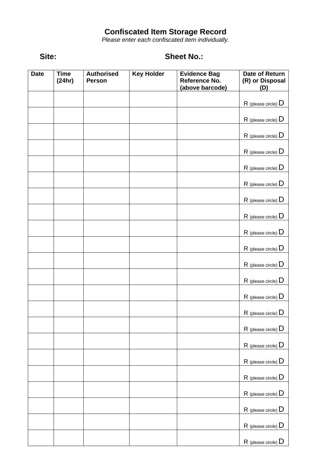### **Confiscated Item Storage Record**

*Please enter each confiscated item individually.*

# **Site: Sheet No.:**

| <b>Date</b> | <b>Time</b><br>(24hr) | <b>Authorised</b><br>Person | <b>Key Holder</b> | <b>Evidence Bag</b><br>Reference No.<br>(above barcode) | Date of Return<br>(R) or Disposal<br>(D) |
|-------------|-----------------------|-----------------------------|-------------------|---------------------------------------------------------|------------------------------------------|
|             |                       |                             |                   |                                                         | $R$ (please circle) $D$                  |
|             |                       |                             |                   |                                                         | $R$ (please circle) $D$                  |
|             |                       |                             |                   |                                                         |                                          |
|             |                       |                             |                   |                                                         | $R$ (please circle) $D$                  |
|             |                       |                             |                   |                                                         | $R$ (please circle) $D$                  |
|             |                       |                             |                   |                                                         | $R$ (please circle) $D$                  |
|             |                       |                             |                   |                                                         | $R$ (please circle) $D$                  |
|             |                       |                             |                   |                                                         | $R$ (please circle) $D$                  |
|             |                       |                             |                   |                                                         | $R$ (please circle) $D$                  |
|             |                       |                             |                   |                                                         | $R$ (please circle) $D$                  |
|             |                       |                             |                   |                                                         | $R$ (please circle) $D$                  |
|             |                       |                             |                   |                                                         | $R$ (please circle) $D$                  |
|             |                       |                             |                   |                                                         | $R$ (please circle) $D$                  |
|             |                       |                             |                   |                                                         | $R$ (please circle) $D$                  |
|             |                       |                             |                   |                                                         | $R$ (please circle) $D$                  |
|             |                       |                             |                   |                                                         | $R$ (please circle) $D$                  |
|             |                       |                             |                   |                                                         | $R$ (please circle) $D$                  |
|             |                       |                             |                   |                                                         | $R$ (please circle) $D$                  |
|             |                       |                             |                   |                                                         | $R$ (please circle) $D$                  |
|             |                       |                             |                   |                                                         | $R$ (please circle) $D$                  |
|             |                       |                             |                   |                                                         | $R$ (please circle) $D$                  |
|             |                       |                             |                   |                                                         |                                          |
|             |                       |                             |                   |                                                         | $R$ (please circle) $D$                  |
|             |                       |                             |                   |                                                         | $R$ (please circle) $D$                  |